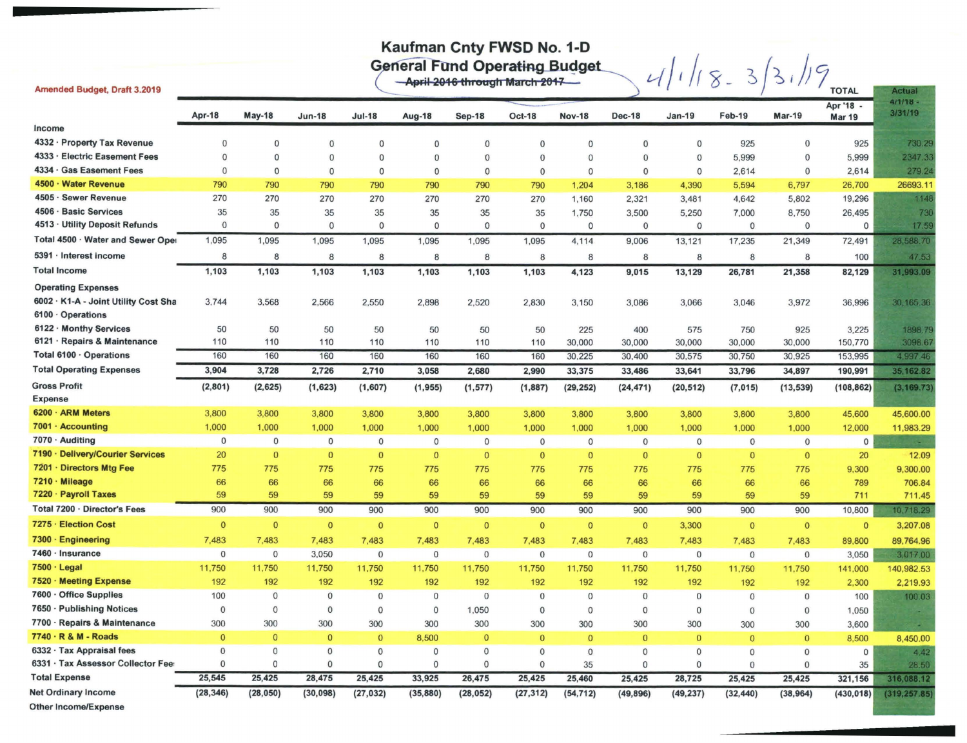## Kaufman Cnty FWSD No. 1-D

General Fund Operating Budget<br>  $-$ April 2016 through March 2017

| Amended Budget, Draft 3.2019         |                |                |                |               |              |              |               |               |               |               |                |                | <b>TOTAL</b>               | <b>Actual</b>         |
|--------------------------------------|----------------|----------------|----------------|---------------|--------------|--------------|---------------|---------------|---------------|---------------|----------------|----------------|----------------------------|-----------------------|
|                                      | Apr-18         | <b>May-18</b>  | <b>Jun-18</b>  | <b>Jul-18</b> | Aug-18       | Sep-18       | <b>Oct-18</b> | <b>Nov-18</b> | <b>Dec-18</b> | <b>Jan-19</b> | Feb-19         | <b>Mar-19</b>  | Apr '18 -<br><b>Mar 19</b> | $4/1/18 =$<br>3/31/19 |
| Income                               |                |                |                |               |              |              |               |               |               |               |                |                |                            |                       |
| 4332 · Property Tax Revenue          | $\Omega$       | $\mathbf{0}$   | $\mathbf{0}$   | $\mathbf 0$   | $\mathbf 0$  | $\mathbf{0}$ | $\Omega$      | $\mathbf{0}$  | $\mathbf{0}$  | $\mathbf{0}$  | 925            | $\mathbf{0}$   | 925                        | 730.29                |
| 4333 · Electric Easement Fees        | $\Omega$       | $\Omega$       | $\mathbf{0}$   | $\mathbf 0$   | $\mathbf{0}$ | $\mathbf{0}$ | $\mathbf 0$   | $\mathbf{0}$  | $\mathbf{0}$  | $\mathbf 0$   | 5,999          | $\mathbf{O}$   | 5,999                      | 2347.33               |
| 4334 · Gas Easement Fees             | $\mathbf{0}$   | $\Omega$       | $\overline{0}$ | $\mathbf 0$   | $\mathbf{0}$ | $\mathbf{0}$ | $\mathbf{0}$  | $\Omega$      | $\mathbf{0}$  | $\mathbf{0}$  | 2,614          | $\mathbf{0}$   | 2,614                      | 279.24                |
| 4500 · Water Revenue                 | 790            | 790            | 790            | 790           | 790          | 790          | 790           | 1.204         | 3,186         | 4,390         | 5,594          | 6,797          | 26,700                     | 26693.11              |
| 4505 · Sewer Revenue                 | 270            | 270            | 270            | 270           | 270          | 270          | 270           | 1,160         | 2,321         | 3,481         | 4,642          | 5,802          | 19,296                     | 1148                  |
| 4506 · Basic Services                | 35             | 35             | 35             | 35            | 35           | 35           | 35            | 1,750         | 3,500         | 5,250         | 7,000          | 8,750          | 26,495                     | 730                   |
| 4513 · Utility Deposit Refunds       | $\overline{0}$ | $\mathbf{0}$   | $\Omega$       | $\mathbf{0}$  | $\mathbf 0$  | $\mathbf{0}$ | $\mathbf 0$   | $\mathbf{0}$  | $\mathbf{0}$  | $\mathbf 0$   | $\mathbf{0}$   | $\mathbf 0$    | $\mathbf 0$                | 17.59                 |
| Total 4500 · Water and Sewer Oper    | 1,095          | 1,095          | 1,095          | 1,095         | 1,095        | 1,095        | 1,095         | 4,114         | 9,006         | 13,121        | 17,235         | 21,349         | 72,491                     | 28,588.70             |
| 5391 · Interest income               | 8              | 8              | 8              | 8             | 8            | 8            | 8             | 8             | 8             | 8             | 8              | 8              | 100                        | 47.53                 |
| <b>Total Income</b>                  | 1,103          | 1,103          | 1,103          | 1,103         | 1,103        | 1,103        | 1,103         | 4,123         | 9,015         | 13,129        | 26,781         | 21,358         | 82,129                     | 31,993.09             |
| <b>Operating Expenses</b>            |                |                |                |               |              |              |               |               |               |               |                |                |                            |                       |
| 6002 · K1-A - Joint Utility Cost Sha | 3,744          | 3,568          | 2,566          | 2,550         | 2,898        | 2,520        | 2,830         | 3,150         | 3,086         | 3,066         | 3,046          | 3,972          | 36,996                     | 30, 165, 36           |
| 6100 · Operations                    |                |                |                |               |              |              |               |               |               |               |                |                |                            |                       |
| 6122 · Monthy Services               | 50             | 50             | 50             | 50            | 50           | 50           | 50            | 225           | 400           | 575           | 750            | 925            | 3,225                      | 1898.79               |
| 6121 · Repairs & Maintenance         | 110            | 110            | 110            | 110           | 110          | 110          | 110           | 30,000        | 30,000        | 30,000        | 30,000         | 30,000         | 150,770                    | 3098.67               |
| Total 6100 · Operations              | 160            | 160            | 160            | 160           | 160          | 160          | 160           | 30,225        | 30,400        | 30,575        | 30,750         | 30,925         | 153,995                    | 4,997.46              |
| <b>Total Operating Expenses</b>      | 3,904          | 3,728          | 2,726          | 2,710         | 3,058        | 2,680        | 2,990         | 33,375        | 33,486        | 33,641        | 33,796         | 34,897         | 190,991                    | 35, 162.82            |
| <b>Gross Profit</b>                  | (2, 801)       | (2,625)        | (1,623)        | (1,607)       | (1, 955)     | (1, 577)     | (1,887)       | (29, 252)     | (24, 471)     | (20, 512)     | (7, 015)       | (13, 539)      | (108, 862)                 | (3, 169.73)           |
| <b>Expense</b>                       |                |                |                |               |              |              |               |               |               |               |                |                |                            |                       |
| 6200 · ARM Meters                    | 3,800          | 3,800          | 3,800          | 3,800         | 3,800        | 3,800        | 3,800         | 3,800         | 3,800         | 3,800         | 3,800          | 3,800          | 45,600                     | 45,600.00             |
| 7001 · Accounting                    | 1,000          | 1,000          | 1,000          | 1,000         | 1,000        | 1,000        | 1,000         | 1,000         | 1,000         | 1,000         | 1,000          | 1,000          | 12,000                     | 11,983.29             |
| 7070 · Auditing                      | 0              | $\mathbf 0$    | $\mathbf 0$    | $\mathbf 0$   | $\mathbf 0$  | $\mathbf{0}$ | $\mathbf 0$   | $\mathbf 0$   | $\mathbf{0}$  | $\mathbf{0}$  | $\mathbf 0$    | $\mathbf{0}$   | $\mathbf 0$                | $\sim$                |
| 7190 · Delivery/Courier Services     | 20             | $\bf{0}$       | $\bf{0}$       | $\mathbf{0}$  | $\mathbf{0}$ | $\mathbf{0}$ | $\mathbf{0}$  | $\mathbf{0}$  | $\mathbf{0}$  | $\bf{0}$      | $\mathbf{0}$   | $\mathbf{0}$   | 20                         | 12.09                 |
| 7201 · Directors Mtg Fee             | 775            | 775            | 775            | 775           | 775          | 775          | 775           | 775           | 775           | 775           | 775            | 775            | 9,300                      | 9,300.00              |
| 7210 · Mileage                       | 66             | 66             | 66             | 66            | 66           | 66           | 66            | 66            | 66            | 66            | 66             | 66             | 789                        | 706.84                |
| 7220 · Payroll Taxes                 | 59             | 59             | 59             | 59            | 59           | 59           | 59            | 59            | 59            | 59            | 59             | 59             | 711                        | 711.45                |
| Total 7200 · Director's Fees         | 900            | 900            | 900            | 900           | 900          | 900          | 900           | 900           | 900           | 900           | 900            | 900            | 10,800                     | 10,718.29             |
| 7275 · Election Cost                 | $\mathbf{0}$   | $\mathbf{0}$   | $\overline{0}$ | $\mathbf{0}$  | $\mathbf{0}$ | $\mathbf{0}$ | $\mathbf{0}$  | $\mathbf{0}$  | $\mathbf{0}$  | 3,300         | $\mathbf{0}$   | $\circ$        | $\mathbf{0}$               | 3,207.08              |
| 7300 · Engineering                   | 7,483          | 7,483          | 7,483          | 7,483         | 7,483        | 7,483        | 7,483         | 7,483         | 7,483         | 7,483         | 7,483          | 7,483          | 89,800                     | 89,764.96             |
| 7460 · Insurance                     | $\mathbf{0}$   | $\mathbf 0$    | 3,050          | $\mathbf 0$   | $\mathbf 0$  | $\mathbf{0}$ | $\mathbf 0$   | $\mathbf{0}$  | $\mathbf{0}$  | $\mathbf 0$   | $\mathbf{0}$   | $\mathbf{0}$   | 3,050                      | 3,017.00              |
| 7500 · Legal                         | 11,750         | 11,750         | 11,750         | 11,750        | 11,750       | 11,750       | 11,750        | 11,750        | 11,750        | 11,750        | 11,750         | 11,750         | 141,000                    | 140,982.53            |
| 7520 · Meeting Expense               | 192            | 192            | 192            | 192           | 192          | 192          | 192           | 192           | 192           | 192           | 192            | 192            | 2,300                      | 2,219.93              |
| 7600 · Office Supplies               | 100            | $\mathbf{O}$   | $\mathbf 0$    | $\mathbf 0$   | $\mathbf{0}$ | $\mathbf{0}$ | $\mathbf{0}$  | $\mathbf{0}$  | $\mathbf{0}$  | $\mathbf{0}$  | $\mathbf{0}$   | $\mathbf{0}$   | 100                        | 100.03                |
| 7650 · Publishing Notices            | $\mathbf{0}$   | $\mathbf{0}$   | $\mathbf{0}$   | $\mathbf 0$   | $\mathbf 0$  | 1,050        | $\mathbf{0}$  | $\mathbf{0}$  | $\mathbf{0}$  | $\mathbf{0}$  | $\mathbf{0}$   | $\mathbf{0}$   | 1,050                      |                       |
| 7700 · Repairs & Maintenance         | 300            | 300            | 300            | 300           | 300          | 300          | 300           | 300           | 300           | 300           | 300            | 300            | 3,600                      |                       |
| 7740 · R & M - Roads                 | $\mathbf{0}$   | $\overline{0}$ | $\mathbf{O}$   | $\mathbf{0}$  | 8,500        | $\mathbf{0}$ | $\mathbf{0}$  | $\mathbf{0}$  | $\mathbf{0}$  | $\mathbf{0}$  | $\mathbf{0}$   | $\overline{0}$ | 8,500                      | 8,450.00              |
| 6332 · Tax Appraisal fees            | $\mathbf{0}$   | $\mathbf 0$    | $\mathbf 0$    | $\mathbf{0}$  | $\mathbf 0$  | $\mathbf 0$  | $\mathbf{0}$  | $\mathbf{0}$  | $\mathbf 0$   | $\mathbf 0$   | $\mathbf 0$    | $\mathbf{0}$   | $\Omega$                   | 4.42                  |
| 6331 · Tax Assessor Collector Fee:   | $\mathbf{0}$   | $\mathbf 0$    | $\mathbf{0}$   | $\Omega$      | $\mathbf{O}$ | $\mathbf{0}$ | $\theta$      | 35            | $\mathbf 0$   | $\Omega$      | $\overline{0}$ | $\mathbf{0}$   | 35                         | 28.50                 |
| <b>Total Expense</b>                 | 25,545         | 25,425         | 28,475         | 25,425        | 33,925       | 26,475       | 25,425        | 25,460        | 25,425        | 28,725        | 25,425         | 25,425         | 321,156                    | 316,088.12            |
| <b>Net Ordinary Income</b>           | (28, 346)      | (28, 050)      | (30, 098)      | (27, 032)     | (35, 880)    | (28, 052)    | (27, 312)     | (54, 712)     | (49, 896)     | (49, 237)     | (32, 440)      | (38, 964)      | (430, 018)                 | (319, 257.85)         |

Other Income/Expense